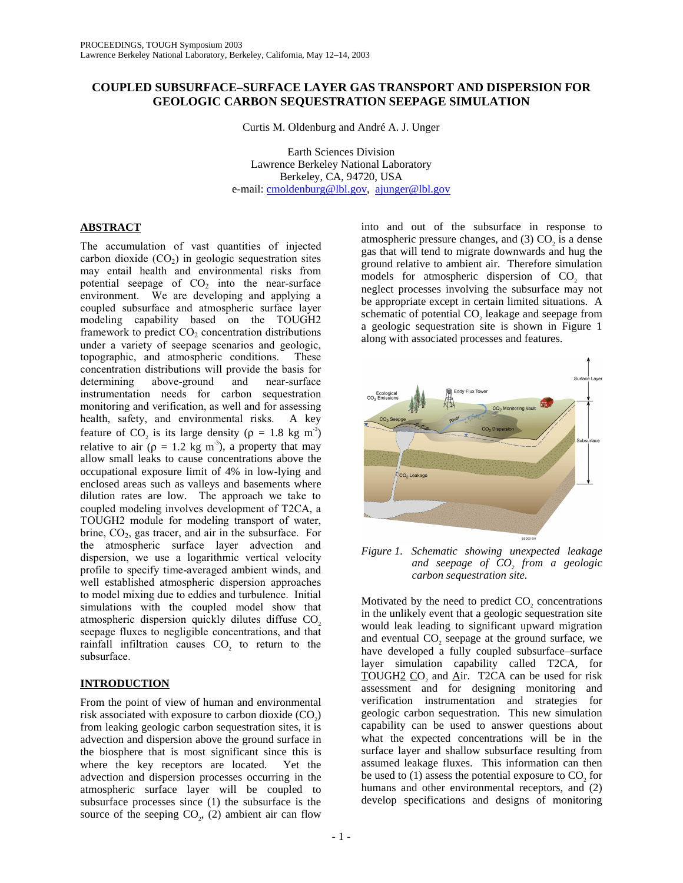# **COUPLED SUBSURFACE–SURFACE LAYER GAS TRANSPORT AND DISPERSION FOR GEOLOGIC CARBON SEQUESTRATION SEEPAGE SIMULATION**

Curtis M. Oldenburg and André A. J. Unger

Earth Sciences Division Lawrence Berkeley National Laboratory Berkeley, CA, 94720, USA e-mail: cmoldenburg@lbl.gov, ajunger@lbl.gov

# **ABSTRACT**

The accumulation of vast quantities of injected carbon dioxide  $(CO<sub>2</sub>)$  in geologic sequestration sites may entail health and environmental risks from potential seepage of  $CO<sub>2</sub>$  into the near-surface environment. We are developing and applying a coupled subsurface and atmospheric surface layer modeling capability based on the TOUGH2 framework to predict  $CO<sub>2</sub>$  concentration distributions under a variety of seepage scenarios and geologic, topographic, and atmospheric conditions. These concentration distributions will provide the basis for determining above-ground and near-surface instrumentation needs for carbon sequestration monitoring and verification, as well and for assessing health, safety, and environmental risks. A key feature of CO<sub>2</sub> is its large density ( $\rho = 1.8$  kg m<sup>-3</sup>) relative to air ( $\rho = 1.2$  kg m<sup>-3</sup>), a property that may allow small leaks to cause concentrations above the occupational exposure limit of 4% in low-lying and enclosed areas such as valleys and basements where dilution rates are low. The approach we take to coupled modeling involves development of T2CA, a TOUGH2 module for modeling transport of water, brine,  $CO<sub>2</sub>$ , gas tracer, and air in the subsurface. For the atmospheric surface layer advection and dispersion, we use a logarithmic vertical velocity profile to specify time-averaged ambient winds, and well established atmospheric dispersion approaches to model mixing due to eddies and turbulence. Initial simulations with the coupled model show that atmospheric dispersion quickly dilutes diffuse CO<sub>2</sub> seepage fluxes to negligible concentrations, and that rainfall infiltration causes  $CO<sub>2</sub>$  to return to the subsurface.

# **INTRODUCTION**

From the point of view of human and environmental risk associated with exposure to carbon dioxide  $(CO<sub>2</sub>)$ from leaking geologic carbon sequestration sites, it is advection and dispersion above the ground surface in the biosphere that is most significant since this is where the key receptors are located. Yet the advection and dispersion processes occurring in the atmospheric surface layer will be coupled to subsurface processes since (1) the subsurface is the source of the seeping  $CO<sub>2</sub>$ , (2) ambient air can flow

into and out of the subsurface in response to atmospheric pressure changes, and  $(3)$  CO<sub>2</sub> is a dense gas that will tend to migrate downwards and hug the ground relative to ambient air. Therefore simulation models for atmospheric dispersion of CO<sub>2</sub> that neglect processes involving the subsurface may not be appropriate except in certain limited situations. A schematic of potential CO<sub>2</sub> leakage and seepage from a geologic sequestration site is shown in Figure 1 along with associated processes and features.



*Figure 1. Schematic showing unexpected leakage and seepage of CO<sub>2</sub> from a geologic carbon sequestration site.* 

Motivated by the need to predict CO<sub>2</sub> concentrations in the unlikely event that a geologic sequestration site would leak leading to significant upward migration and eventual CO<sub>2</sub> seepage at the ground surface, we have developed a fully coupled subsurface–surface layer simulation capability called T2CA, for TOUGH2 CO<sub>2</sub> and Air. T2CA can be used for risk assessment and for designing monitoring and verification instrumentation and strategies for geologic carbon sequestration. This new simulation capability can be used to answer questions about what the expected concentrations will be in the surface layer and shallow subsurface resulting from assumed leakage fluxes. This information can then be used to  $(1)$  assess the potential exposure to  $CO<sub>2</sub>$  for humans and other environmental receptors, and (2) develop specifications and designs of monitoring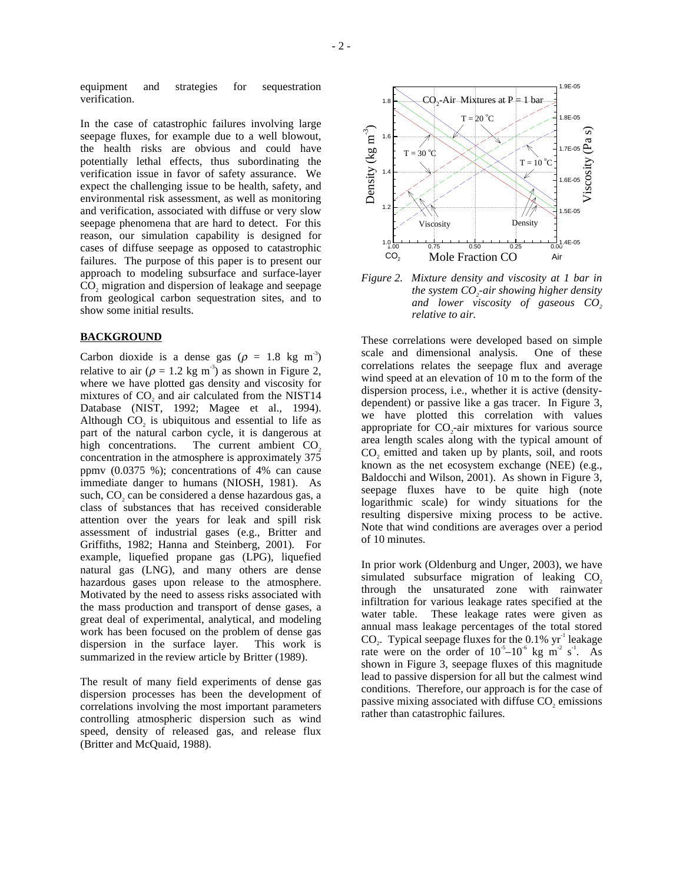equipment and strategies for sequestration verification.

In the case of catastrophic failures involving large seepage fluxes, for example due to a well blowout, the health risks are obvious and could have potentially lethal effects, thus subordinating the verification issue in favor of safety assurance. We expect the challenging issue to be health, safety, and environmental risk assessment, as well as monitoring and verification, associated with diffuse or very slow seepage phenomena that are hard to detect. For this reason, our simulation capability is designed for cases of diffuse seepage as opposed to catastrophic failures. The purpose of this paper is to present our approach to modeling subsurface and surface-layer CO<sub>2</sub> migration and dispersion of leakage and seepage from geological carbon sequestration sites, and to show some initial results.

## **BACKGROUND**

Carbon dioxide is a dense gas ( $\rho = 1.8$  kg m<sup>-3</sup>) relative to air ( $\rho = 1.2$  kg m<sup>-3</sup>) as shown in Figure 2, where we have plotted gas density and viscosity for mixtures of CO<sub>2</sub> and air calculated from the NIST14 Database (NIST, 1992; Magee et al., 1994). Although CO<sub>2</sub> is ubiquitous and essential to life as part of the natural carbon cycle, it is dangerous at high concentrations. The current ambient  $CO<sub>2</sub>$ concentration in the atmosphere is approximately 375 ppmv (0.0375 %); concentrations of 4% can cause immediate danger to humans (NIOSH, 1981). As such, CO<sub>2</sub> can be considered a dense hazardous gas, a class of substances that has received considerable attention over the years for leak and spill risk assessment of industrial gases (e.g., Britter and Griffiths, 1982; Hanna and Steinberg, 2001). For example, liquefied propane gas (LPG), liquefied natural gas (LNG), and many others are dense hazardous gases upon release to the atmosphere. Motivated by the need to assess risks associated with the mass production and transport of dense gases, a great deal of experimental, analytical, and modeling work has been focused on the problem of dense gas dispersion in the surface layer. This work is summarized in the review article by Britter (1989).

The result of many field experiments of dense gas dispersion processes has been the development of correlations involving the most important parameters controlling atmospheric dispersion such as wind speed, density of released gas, and release flux (Britter and McQuaid, 1988).



*Figure 2. Mixture density and viscosity at 1 bar in the system CO<sub>2</sub>-air showing higher density and lower viscosity of gaseous CO<sub>2</sub> relative to air.* 

These correlations were developed based on simple scale and dimensional analysis. One of these correlations relates the seepage flux and average wind speed at an elevation of 10 m to the form of the dispersion process, i.e., whether it is active (densitydependent) or passive like a gas tracer. In Figure 3, we have plotted this correlation with values appropriate for CO<sub>2</sub>-air mixtures for various source area length scales along with the typical amount of CO<sub>2</sub> emitted and taken up by plants, soil, and roots known as the net ecosystem exchange (NEE) (e.g., Baldocchi and Wilson, 2001). As shown in Figure 3, seepage fluxes have to be quite high (note logarithmic scale) for windy situations for the resulting dispersive mixing process to be active. Note that wind conditions are averages over a period of 10 minutes.

In prior work (Oldenburg and Unger, 2003), we have simulated subsurface migration of leaking  $CO<sub>2</sub>$ through the unsaturated zone with rainwater infiltration for various leakage rates specified at the water table. These leakage rates were given as annual mass leakage percentages of the total stored CO<sub>2</sub>. Typical seepage fluxes for the  $0.1\%$  yr<sup>-1</sup> leakage rate were on the order of  $10^{-5}$ – $10^{-6}$  kg m<sup>-2</sup> s<sup>-1</sup>. As shown in Figure 3, seepage fluxes of this magnitude lead to passive dispersion for all but the calmest wind conditions. Therefore, our approach is for the case of passive mixing associated with diffuse CO<sub>2</sub> emissions rather than catastrophic failures.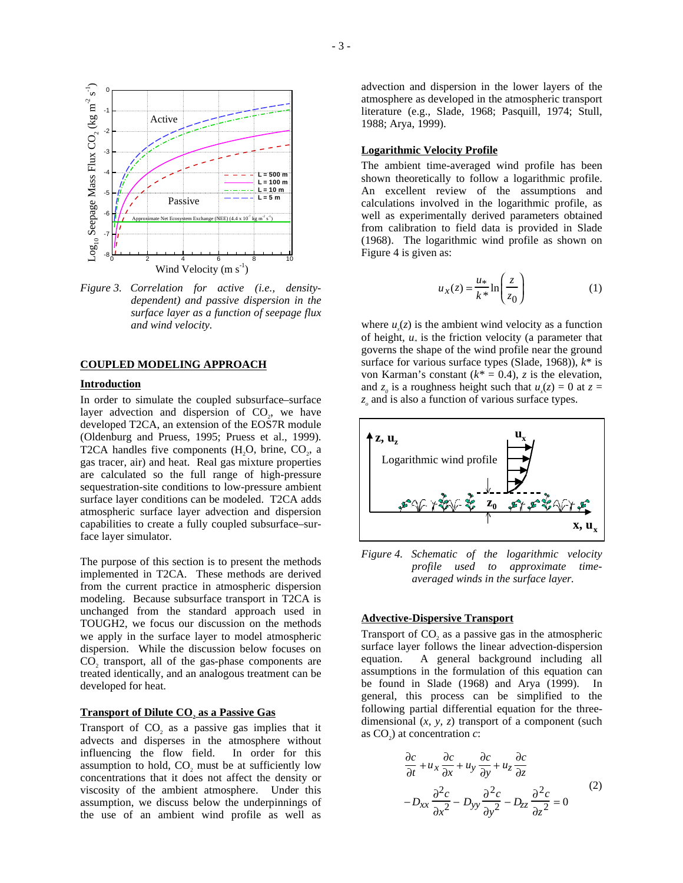

*Figure 3. Correlation for active (i.e., densitydependent) and passive dispersion in the surface layer as a function of seepage flux and wind velocity.* 

#### **COUPLED MODELING APPROACH**

# **Introduction**

In order to simulate the coupled subsurface–surface layer advection and dispersion of  $CO<sub>2</sub>$ , we have developed T2CA, an extension of the EOS7R module (Oldenburg and Pruess, 1995; Pruess et al., 1999). T2CA handles five components  $(H<sub>1</sub>O<sub>1</sub>)$ , brine,  $CO<sub>2</sub>$ , a gas tracer, air) and heat. Real gas mixture properties are calculated so the full range of high-pressure sequestration-site conditions to low-pressure ambient surface layer conditions can be modeled. T2CA adds atmospheric surface layer advection and dispersion capabilities to create a fully coupled subsurface–surface layer simulator.

The purpose of this section is to present the methods implemented in T2CA. These methods are derived from the current practice in atmospheric dispersion modeling. Because subsurface transport in T2CA is unchanged from the standard approach used in TOUGH2, we focus our discussion on the methods we apply in the surface layer to model atmospheric dispersion. While the discussion below focuses on CO<sub>2</sub> transport, all of the gas-phase components are treated identically, and an analogous treatment can be developed for heat.

# **Transport of Dilute CO<sub>2</sub> as a Passive Gas**

Transport of CO<sub>2</sub> as a passive gas implies that it advects and disperses in the atmosphere without influencing the flow field. assumption to hold, CO<sub>2</sub> must be at sufficiently low concentrations that it does not affect the density or viscosity of the ambient atmosphere. Under this assumption, we discuss below the underpinnings of the use of an ambient wind profile as well as

advection and dispersion in the lower layers of the atmosphere as developed in the atmospheric transport literature (e.g., Slade, 1968; Pasquill, 1974; Stull, 1988; Arya, 1999).

# **Logarithmic Velocity Profile**

The ambient time-averaged wind profile has been shown theoretically to follow a logarithmic profile. An excellent review of the assumptions and calculations involved in the logarithmic profile, as well as experimentally derived parameters obtained from calibration to field data is provided in Slade (1968). The logarithmic wind profile as shown on Figure 4 is given as:

$$
u_x(z) = \frac{u_*}{k^*} \ln\left(\frac{z}{z_0}\right) \tag{1}
$$

where  $u_x(z)$  is the ambient wind velocity as a function of height,  $u_*$  is the friction velocity (a parameter that governs the shape of the wind profile near the ground surface for various surface types (Slade, 1968)), *k*\* is von Karman's constant  $(k^* = 0.4)$ , *z* is the elevation, and  $z_0$  is a roughness height such that  $u_x(z) = 0$  at  $z =$ *z* and is also a function of various surface types.



*Figure 4. Schematic of the logarithmic velocity profile used to approximate timeaveraged winds in the surface layer.* 

# **Advective-Dispersive Transport**

Transport of CO<sub>2</sub> as a passive gas in the atmospheric surface layer follows the linear advection-dispersion equation. A general background including all assumptions in the formulation of this equation can be found in Slade (1968) and Arya (1999). In general, this process can be simplified to the following partial differential equation for the threedimensional (*x, y, z*) transport of a component (such as  $CO<sub>2</sub>$ ) at concentration *c*:

$$
\frac{\partial c}{\partial t} + u_x \frac{\partial c}{\partial x} + u_y \frac{\partial c}{\partial y} + u_z \frac{\partial c}{\partial z} \n- D_{xx} \frac{\partial^2 c}{\partial x^2} - D_{yy} \frac{\partial^2 c}{\partial y^2} - D_{zz} \frac{\partial^2 c}{\partial z^2} = 0
$$
\n(2)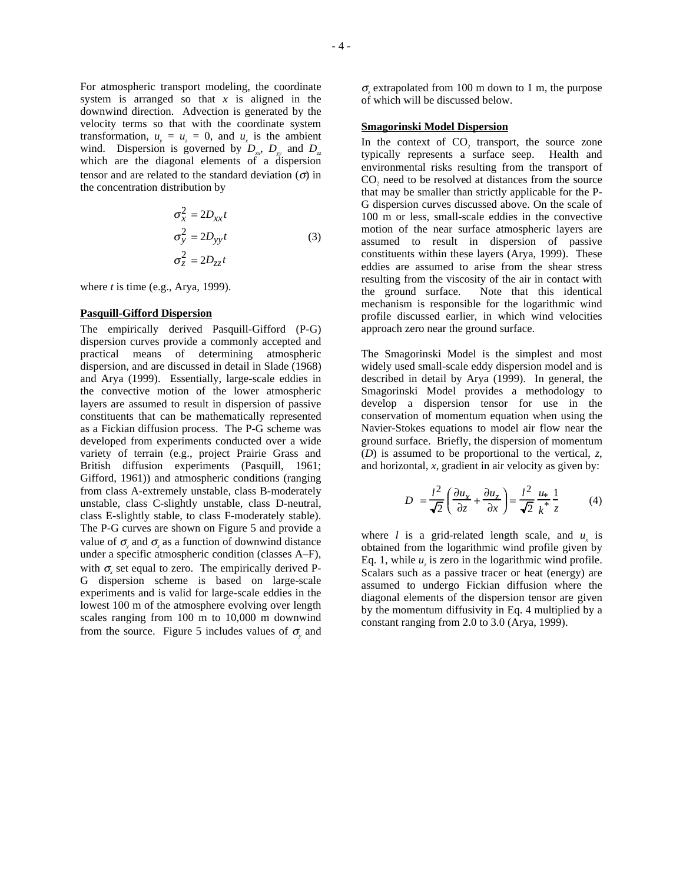For atmospheric transport modeling, the coordinate system is arranged so that *x* is aligned in the downwind direction. Advection is generated by the velocity terms so that with the coordinate system transformation,  $u_y = u_z = 0$ , and  $u_x$  is the ambient wind. Dispersion is governed by  $D_{xy}$ ,  $D_{yy}$  and  $D_{xy}$ which are the diagonal elements of a dispersion tensor and are related to the standard deviation  $(\sigma)$  in the concentration distribution by

$$
\sigma_x^2 = 2D_{xx}t
$$
  
\n
$$
\sigma_y^2 = 2D_{yy}t
$$
  
\n
$$
\sigma_z^2 = 2D_{zz}t
$$
\n(3)

where *t* is time (e.g., Arya, 1999).

#### **Pasquill-Gifford Dispersion**

The empirically derived Pasquill-Gifford (P-G) dispersion curves provide a commonly accepted and practical means of determining atmospheric dispersion, and are discussed in detail in Slade (1968) and Arya (1999). Essentially, large-scale eddies in the convective motion of the lower atmospheric layers are assumed to result in dispersion of passive constituents that can be mathematically represented as a Fickian diffusion process. The P-G scheme was developed from experiments conducted over a wide variety of terrain (e.g., project Prairie Grass and British diffusion experiments (Pasquill, 1961; Gifford, 1961)) and atmospheric conditions (ranging from class A-extremely unstable, class B-moderately unstable, class C-slightly unstable, class D-neutral, class E-slightly stable, to class F-moderately stable). The P-G curves are shown on Figure 5 and provide a value of  $\sigma$ <sub>y</sub> and  $\sigma$ <sub>z</sub> as a function of downwind distance under a specific atmospheric condition (classes A–F), with  $\sigma_{\rm x}$  set equal to zero. The empirically derived P-G dispersion scheme is based on large-scale experiments and is valid for large-scale eddies in the lowest 100 m of the atmosphere evolving over length scales ranging from 100 m to 10,000 m downwind from the source. Figure 5 includes values of  $\sigma$ <sub>y</sub> and

σ*z* extrapolated from 100 m down to 1 m, the purpose of which will be discussed below.

## **Smagorinski Model Dispersion**

In the context of CO<sub>2</sub> transport, the source zone typically represents a surface seep. Health and environmental risks resulting from the transport of CO<sub>2</sub> need to be resolved at distances from the source that may be smaller than strictly applicable for the P-G dispersion curves discussed above. On the scale of 100 m or less, small-scale eddies in the convective motion of the near surface atmospheric layers are assumed to result in dispersion of passive constituents within these layers (Arya, 1999). These eddies are assumed to arise from the shear stress resulting from the viscosity of the air in contact with the ground surface. Note that this identical mechanism is responsible for the logarithmic wind profile discussed earlier, in which wind velocities approach zero near the ground surface.

The Smagorinski Model is the simplest and most widely used small-scale eddy dispersion model and is described in detail by Arya (1999). In general, the Smagorinski Model provides a methodology to develop a dispersion tensor for use in the conservation of momentum equation when using the Navier-Stokes equations to model air flow near the ground surface. Briefly, the dispersion of momentum (*D*) is assumed to be proportional to the vertical, *z*, and horizontal, *x*, gradient in air velocity as given by:

$$
D = \frac{l^2}{\sqrt{2}} \left( \frac{\partial u_x}{\partial z} + \frac{\partial u_z}{\partial x} \right) = \frac{l^2}{\sqrt{2}} \frac{u_x}{k^*} \frac{1}{z}
$$
 (4)

where *l* is a grid-related length scale, and  $u_x$  is obtained from the logarithmic wind profile given by Eq. 1, while  $u<sub>z</sub>$  is zero in the logarithmic wind profile. Scalars such as a passive tracer or heat (energy) are assumed to undergo Fickian diffusion where the diagonal elements of the dispersion tensor are given by the momentum diffusivity in Eq. 4 multiplied by a constant ranging from 2.0 to 3.0 (Arya, 1999).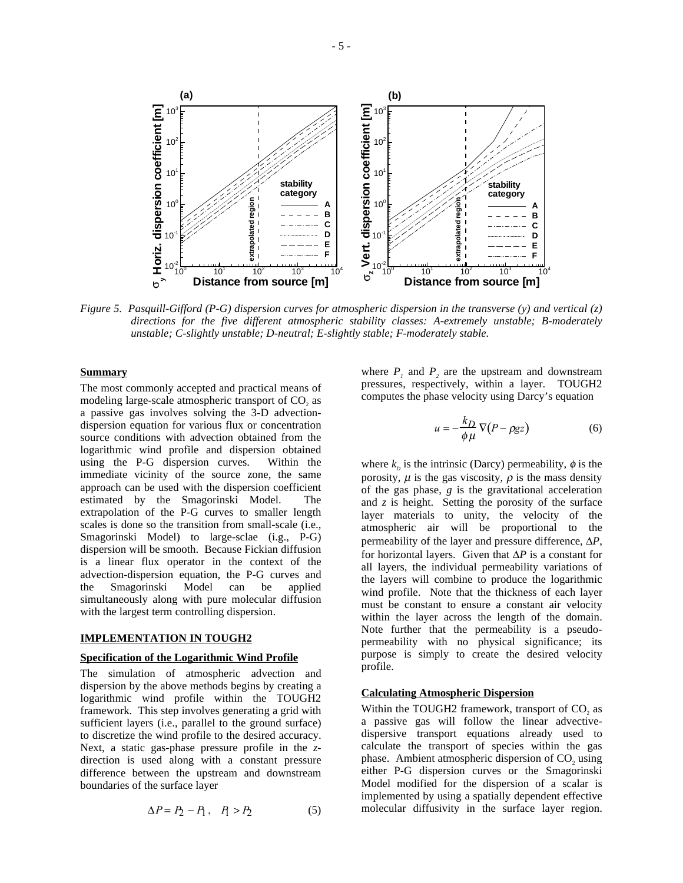

*Figure 5. Pasquill-Gifford (P-G) dispersion curves for atmospheric dispersion in the transverse (y) and vertical (z) directions for the five different atmospheric stability classes: A-extremely unstable; B-moderately unstable; C-slightly unstable; D-neutral; E-slightly stable; F-moderately stable.* 

#### **Summary**

The most commonly accepted and practical means of modeling large-scale atmospheric transport of CO<sub>2</sub> as a passive gas involves solving the 3-D advectiondispersion equation for various flux or concentration source conditions with advection obtained from the logarithmic wind profile and dispersion obtained using the P-G dispersion curves. Within the immediate vicinity of the source zone, the same approach can be used with the dispersion coefficient estimated by the Smagorinski Model. The extrapolation of the P-G curves to smaller length scales is done so the transition from small-scale (i.e., Smagorinski Model) to large-sclae (i.g., P-G) dispersion will be smooth. Because Fickian diffusion is a linear flux operator in the context of the advection-dispersion equation, the P-G curves and the Smagorinski Model can be applied simultaneously along with pure molecular diffusion with the largest term controlling dispersion.

## **IMPLEMENTATION IN TOUGH2**

#### **Specification of the Logarithmic Wind Profile**

The simulation of atmospheric advection and dispersion by the above methods begins by creating a logarithmic wind profile within the TOUGH2 framework. This step involves generating a grid with sufficient layers (i.e., parallel to the ground surface) to discretize the wind profile to the desired accuracy. Next, a static gas-phase pressure profile in the *z*direction is used along with a constant pressure difference between the upstream and downstream boundaries of the surface layer

$$
\Delta P = P_2 - P_1, \quad P_1 > P_2 \tag{5}
$$

where  $P_1$  and  $P_2$  are the upstream and downstream pressures, respectively, within a layer. TOUGH2 computes the phase velocity using Darcy's equation

$$
u = -\frac{k_D}{\phi \mu} \nabla (P - \rho g z) \tag{6}
$$

where  $k_p$  is the intrinsic (Darcy) permeability,  $\phi$  is the porosity,  $\mu$  is the gas viscosity,  $\rho$  is the mass density of the gas phase, *g* is the gravitational acceleration and *z* is height. Setting the porosity of the surface layer materials to unity, the velocity of the atmospheric air will be proportional to the permeability of the layer and pressure difference, ∆*P*, for horizontal layers. Given that ∆*P* is a constant for all layers, the individual permeability variations of the layers will combine to produce the logarithmic wind profile. Note that the thickness of each layer must be constant to ensure a constant air velocity within the layer across the length of the domain. Note further that the permeability is a pseudopermeability with no physical significance; its purpose is simply to create the desired velocity profile.

# **Calculating Atmospheric Dispersion**

Within the TOUGH2 framework, transport of CO<sub>2</sub> as a passive gas will follow the linear advectivedispersive transport equations already used to calculate the transport of species within the gas phase. Ambient atmospheric dispersion of CO<sub>2</sub> using either P-G dispersion curves or the Smagorinski Model modified for the dispersion of a scalar is implemented by using a spatially dependent effective molecular diffusivity in the surface layer region.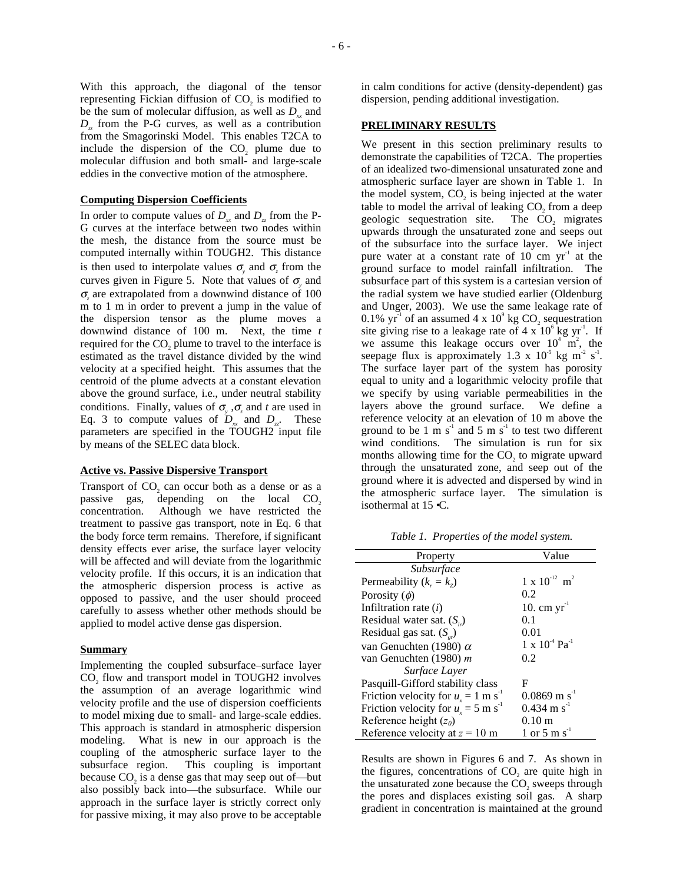With this approach, the diagonal of the tensor representing Fickian diffusion of CO<sub>2</sub> is modified to be the sum of molecular diffusion, as well as  $D<sub>x</sub>$  and *D<sub>z</sub>* from the P-G curves, as well as a contribution from the Smagorinski Model. This enables T2CA to include the dispersion of the  $CO<sub>2</sub>$  plume due to molecular diffusion and both small- and large-scale eddies in the convective motion of the atmosphere.

#### **Computing Dispersion Coefficients**

In order to compute values of  $D_x$  and  $D_y$  from the P-G curves at the interface between two nodes within the mesh, the distance from the source must be computed internally within TOUGH2. This distance is then used to interpolate values  $\sigma$ <sub>*y*</sub> and  $\sigma$ <sub>*z*</sub> from the curves given in Figure 5. Note that values of  $\sigma_{y}$  and σ*z* are extrapolated from a downwind distance of 100 m to 1 m in order to prevent a jump in the value of the dispersion tensor as the plume moves a downwind distance of 100 m. Next, the time *t* required for the CO<sub>2</sub> plume to travel to the interface is estimated as the travel distance divided by the wind velocity at a specified height. This assumes that the centroid of the plume advects at a constant elevation above the ground surface, i.e., under neutral stability conditions. Finally, values of  $\sigma_y$ ,  $\sigma_z$  and *t* are used in Eq. 3 to compute values of  $D_x$  and  $D_y$ . These parameters are specified in the TOUGH2 input file by means of the SELEC data block.

#### **Active vs. Passive Dispersive Transport**

Transport of  $CO_2$  can occur both as a dense or as a passive gas, depending on the local  $CO_2$ depending on the local  $CO<sub>2</sub>$ concentration. Although we have restricted the treatment to passive gas transport, note in Eq. 6 that the body force term remains. Therefore, if significant density effects ever arise, the surface layer velocity will be affected and will deviate from the logarithmic velocity profile. If this occurs, it is an indication that the atmospheric dispersion process is active as opposed to passive, and the user should proceed carefully to assess whether other methods should be applied to model active dense gas dispersion.

#### **Summary**

Implementing the coupled subsurface–surface layer CO<sub>2</sub> flow and transport model in TOUGH2 involves the assumption of an average logarithmic wind velocity profile and the use of dispersion coefficients to model mixing due to small- and large-scale eddies. This approach is standard in atmospheric dispersion modeling. What is new in our approach is the coupling of the atmospheric surface layer to the subsurface region. This coupling is important because CO<sub>2</sub> is a dense gas that may seep out of—but also possibly back into—the subsurface. While our approach in the surface layer is strictly correct only for passive mixing, it may also prove to be acceptable in calm conditions for active (density-dependent) gas dispersion, pending additional investigation.

### **PRELIMINARY RESULTS**

We present in this section preliminary results to demonstrate the capabilities of T2CA. The properties of an idealized two-dimensional unsaturated zone and atmospheric surface layer are shown in Table 1. In the model system, CO<sub>2</sub> is being injected at the water table to model the arrival of leaking  $CO<sub>2</sub>$  from a deep geologic sequestration site. The  $CO<sub>2</sub>$  migrates geologic sequestration site. upwards through the unsaturated zone and seeps out of the subsurface into the surface layer. We inject pure water at a constant rate of 10 cm  $yr^{-1}$  at the ground surface to model rainfall infiltration. The subsurface part of this system is a cartesian version of the radial system we have studied earlier (Oldenburg and Unger, 2003). We use the same leakage rate of 0.1%  $yr^{-1}$  of an assumed 4 x 10<sup>9</sup> kg CO<sub>2</sub> sequestration site giving rise to a leakage rate of  $4 \times 10^6$  kg yr<sup>1</sup>. If we assume this leakage occurs over  $10^4$  m<sup>2</sup>, the seepage flux is approximately 1.3 x  $10^5$  kg m<sup>2</sup> s<sup>-1</sup>. The surface layer part of the system has porosity equal to unity and a logarithmic velocity profile that we specify by using variable permeabilities in the layers above the ground surface. We define a reference velocity at an elevation of 10 m above the ground to be 1 m  $s^{-1}$  and 5 m  $s^{-1}$  to test two different wind conditions. The simulation is run for six months allowing time for the CO<sub>2</sub> to migrate upward through the unsaturated zone, and seep out of the ground where it is advected and dispersed by wind in the atmospheric surface layer. The simulation is isothermal at 15 •C.

*Table 1. Properties of the model system.* 

| Property                                          | Value                               |
|---------------------------------------------------|-------------------------------------|
| Subsurface                                        |                                     |
| Permeability $(k_{r} = k_{z})$                    | $1 \times 10^{-12}$ m <sup>2</sup>  |
| Porosity $(\phi)$                                 | 0.2                                 |
| Infiltration rate $(i)$                           | 10. cm $yr^{-1}$                    |
| Residual water sat. $(S_{i})$                     | 0.1                                 |
| Residual gas sat. $(S_{\scriptscriptstyle{gr}})$  | 0.01                                |
| van Genuchten (1980) $\alpha$                     | $1 \times 10^{-4}$ Pa <sup>-1</sup> |
| van Genuchten (1980) m                            | 0.2                                 |
| Surface Laver                                     |                                     |
| Pasquill-Gifford stability class                  | F                                   |
| Friction velocity for $u_x = 1$ m s <sup>-1</sup> | $0.0869$ m s <sup>-1</sup>          |
| Friction velocity for $u_r = 5$ m s <sup>-1</sup> | $0.434 \text{ m s}^{-1}$            |
| Reference height $(z_0)$                          | $0.10 \text{ m}$                    |
| Reference velocity at $z = 10$ m                  | 1 or 5 m s <sup>-1</sup>            |

Results are shown in Figures 6 and 7. As shown in the figures, concentrations of  $CO$ , are quite high in the unsaturated zone because the CO<sub>2</sub> sweeps through the pores and displaces existing soil gas. A sharp gradient in concentration is maintained at the ground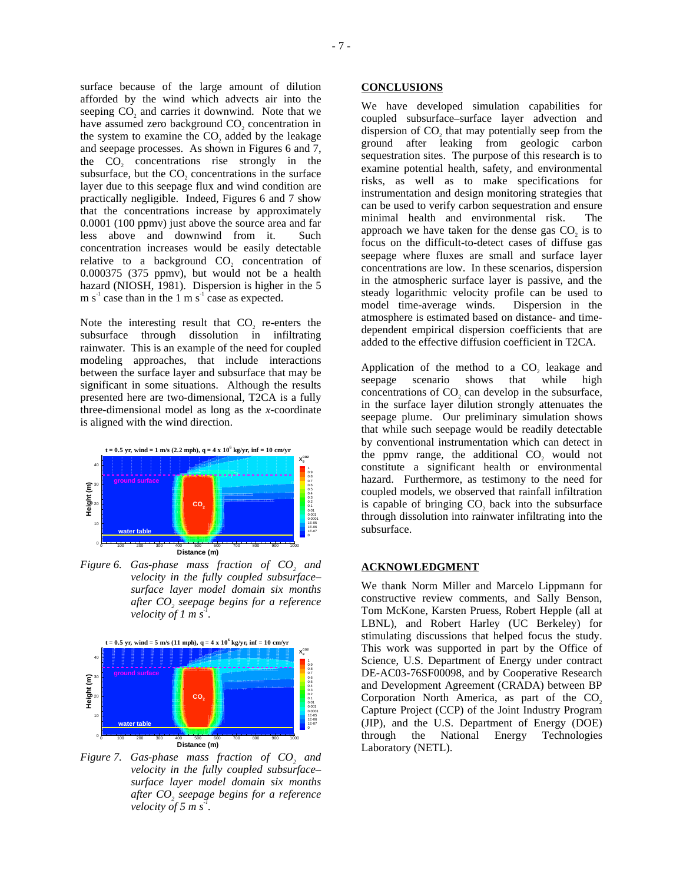surface because of the large amount of dilution afforded by the wind which advects air into the seeping CO<sub>2</sub> and carries it downwind. Note that we have assumed zero background CO<sub>2</sub> concentration in the system to examine the  $CO$ , added by the leakage and seepage processes. As shown in Figures 6 and 7, the  $CO<sub>2</sub>$  concentrations rise strongly in the subsurface, but the CO<sub>2</sub> concentrations in the surface layer due to this seepage flux and wind condition are practically negligible. Indeed, Figures 6 and 7 show

that the concentrations increase by approximately 0.0001 (100 ppmv) just above the source area and far less above and downwind from it. Such concentration increases would be easily detectable relative to a background CO<sub>2</sub> concentration of 0.000375 (375 ppmv), but would not be a health hazard (NIOSH, 1981). Dispersion is higher in the 5 m  $s^{-1}$  case than in the 1 m  $s^{-1}$  case as expected.

Note the interesting result that  $CO$ , re-enters the subsurface through dissolution in infiltrating rainwater. This is an example of the need for coupled modeling approaches, that include interactions between the surface layer and subsurface that may be significant in some situations. Although the results presented here are two-dimensional, T2CA is a fully three-dimensional model as long as the *x*-coordinate is aligned with the wind direction.



*Figure 6. Gas-phase mass fraction of CO<sub>2</sub> and velocity in the fully coupled subsurface– surface layer model domain six months after CO<sub>2</sub> seepage begins for a reference velocity of 1 m s*<sup> $1$ </sup>.



*Figure 7. Gas-phase mass fraction of CO<sub>2</sub> and velocity in the fully coupled subsurface– surface layer model domain six months after CO<sub>2</sub> seepage begins for a reference velocity of* 5  $\overline{m}$  s<sup>-1</sup>.

We have developed simulation capabilities for coupled subsurface–surface layer advection and dispersion of  $CO<sub>2</sub>$  that may potentially seep from the ground after leaking from geologic carbon sequestration sites. The purpose of this research is to examine potential health, safety, and environmental risks, as well as to make specifications for instrumentation and design monitoring strategies that can be used to verify carbon sequestration and ensure minimal health and environmental risk. The approach we have taken for the dense gas  $CO<sub>2</sub>$  is to focus on the difficult-to-detect cases of diffuse gas seepage where fluxes are small and surface layer concentrations are low. In these scenarios, dispersion in the atmospheric surface layer is passive, and the steady logarithmic velocity profile can be used to model time-average winds. Dispersion in the atmosphere is estimated based on distance- and timedependent empirical dispersion coefficients that are added to the effective diffusion coefficient in T2CA.

Application of the method to a  $CO<sub>2</sub>$  leakage and seepage scenario shows that while high scenario concentrations of CO<sub>2</sub> can develop in the subsurface, in the surface layer dilution strongly attenuates the seepage plume. Our preliminary simulation shows that while such seepage would be readily detectable by conventional instrumentation which can detect in the ppmv range, the additional CO<sub>2</sub> would not constitute a significant health or environmental hazard. Furthermore, as testimony to the need for coupled models, we observed that rainfall infiltration is capable of bringing CO<sub>2</sub> back into the subsurface through dissolution into rainwater infiltrating into the subsurface.

## **ACKNOWLEDGMENT**

We thank Norm Miller and Marcelo Lippmann for constructive review comments, and Sally Benson, Tom McKone, Karsten Pruess, Robert Hepple (all at LBNL), and Robert Harley (UC Berkeley) for stimulating discussions that helped focus the study. This work was supported in part by the Office of Science, U.S. Department of Energy under contract DE-AC03-76SF00098, and by Cooperative Research and Development Agreement (CRADA) between BP Corporation North America, as part of the  $CO<sub>2</sub>$ Capture Project (CCP) of the Joint Industry Program (JIP), and the U.S. Department of Energy (DOE) through the National Energy Technologies Laboratory (NETL).